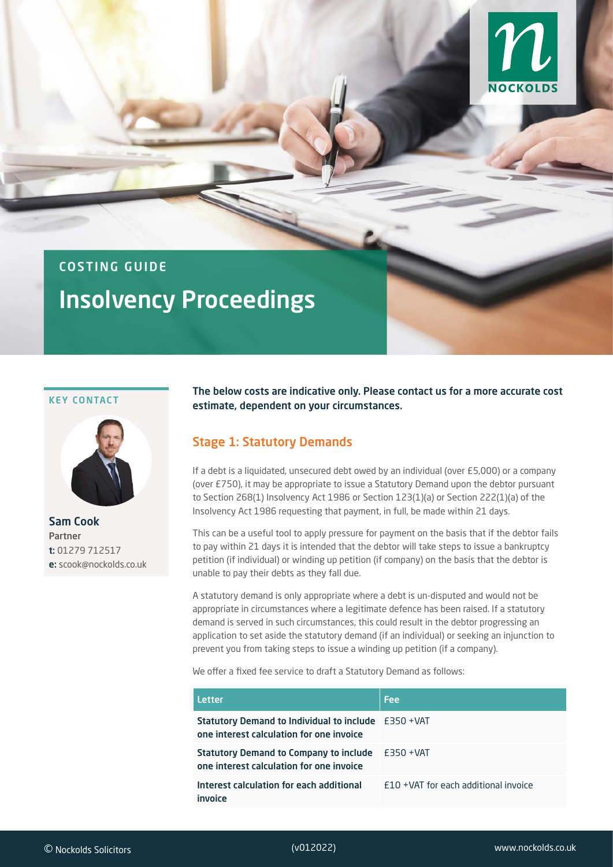

## COSTING GUIDE

# Insolvency Proceedings

#### KEY CONTACT



Sam Cook Partner t: 01279 712517 e: scook@nockolds.co.uk

The below costs are indicative only. Please contact us for a more accurate cost estimate, dependent on your circumstances.

#### Stage 1: Statutory Demands

If a debt is a liquidated, unsecured debt owed by an individual (over £5,000) or a company (over £750), it may be appropriate to issue a Statutory Demand upon the debtor pursuant to Section 268(1) Insolvency Act 1986 or Section 123(1)(a) or Section 222(1)(a) of the Insolvency Act 1986 requesting that payment, in full, be made within 21 days.

This can be a useful tool to apply pressure for payment on the basis that if the debtor fails to pay within 21 days it is intended that the debtor will take steps to issue a bankruptcy petition (if individual) or winding up petition (if company) on the basis that the debtor is unable to pay their debts as they fall due.

A statutory demand is only appropriate where a debt is un-disputed and would not be appropriate in circumstances where a legitimate defence has been raised. If a statutory demand is served in such circumstances, this could result in the debtor progressing an application to set aside the statutory demand (if an individual) or seeking an injunction to prevent you from taking steps to issue a winding up petition (if a company).

We offer a fixed fee service to draft a Statutory Demand as follows:

| <b>Letter</b>                                                                                          | <b>Fee</b>                           |
|--------------------------------------------------------------------------------------------------------|--------------------------------------|
| <b>Statutory Demand to Individual to include</b> £350 +VAT<br>one interest calculation for one invoice |                                      |
| <b>Statutory Demand to Company to include</b><br>one interest calculation for one invoice              | £350 +VAT                            |
| Interest calculation for each additional<br>invoice                                                    | F10 +VAT for each additional invoice |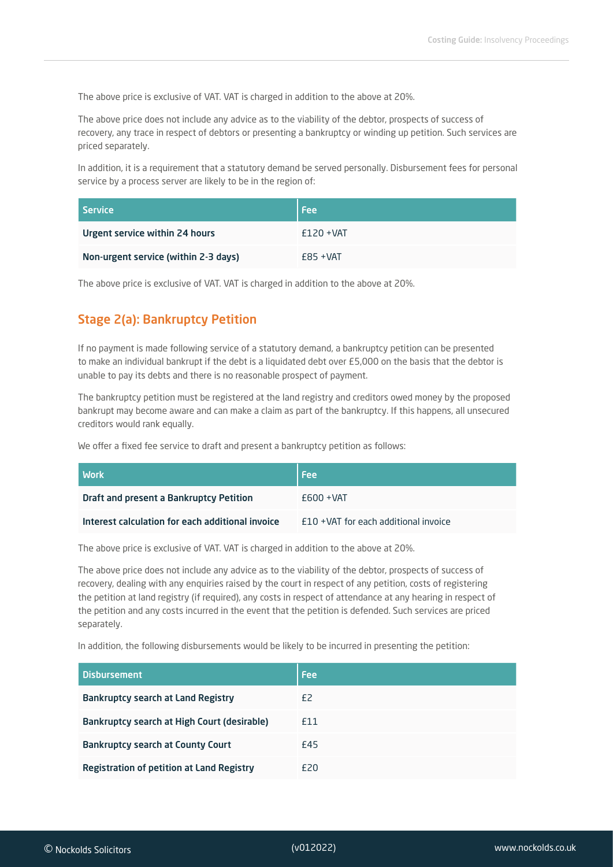The above price is exclusive of VAT. VAT is charged in addition to the above at 20%.

The above price does not include any advice as to the viability of the debtor, prospects of success of recovery, any trace in respect of debtors or presenting a bankruptcy or winding up petition. Such services are priced separately.

In addition, it is a requirement that a statutory demand be served personally. Disbursement fees for personal service by a process server are likely to be in the region of:

| l Service                            | <b>Fee</b>   |
|--------------------------------------|--------------|
| Urgent service within 24 hours       | $f120 + VAT$ |
| Non-urgent service (within 2-3 days) | $E85 + VAT$  |

The above price is exclusive of VAT. VAT is charged in addition to the above at 20%.

### Stage 2(a): Bankruptcy Petition

If no payment is made following service of a statutory demand, a bankruptcy petition can be presented to make an individual bankrupt if the debt is a liquidated debt over £5,000 on the basis that the debtor is unable to pay its debts and there is no reasonable prospect of payment.

The bankruptcy petition must be registered at the land registry and creditors owed money by the proposed bankrupt may become aware and can make a claim as part of the bankruptcy. If this happens, all unsecured creditors would rank equally.

We offer a fixed fee service to draft and present a bankruptcy petition as follows:

| l Work                                           | <b>Fee</b>                              |
|--------------------------------------------------|-----------------------------------------|
| Draft and present a Bankruptcy Petition          | $F600 + VAT$                            |
| Interest calculation for each additional invoice | $f10 + VAT$ for each additional invoice |

The above price is exclusive of VAT. VAT is charged in addition to the above at 20%.

The above price does not include any advice as to the viability of the debtor, prospects of success of recovery, dealing with any enquiries raised by the court in respect of any petition, costs of registering the petition at land registry (if required), any costs in respect of attendance at any hearing in respect of the petition and any costs incurred in the event that the petition is defended. Such services are priced separately.

In addition, the following disbursements would be likely to be incurred in presenting the petition:

| <b>Disbursement</b>                              | Fee |
|--------------------------------------------------|-----|
| <b>Bankruptcy search at Land Registry</b>        | £2  |
| Bankruptcy search at High Court (desirable)      | £11 |
| <b>Bankruptcy search at County Court</b>         | £45 |
| <b>Registration of petition at Land Registry</b> | £20 |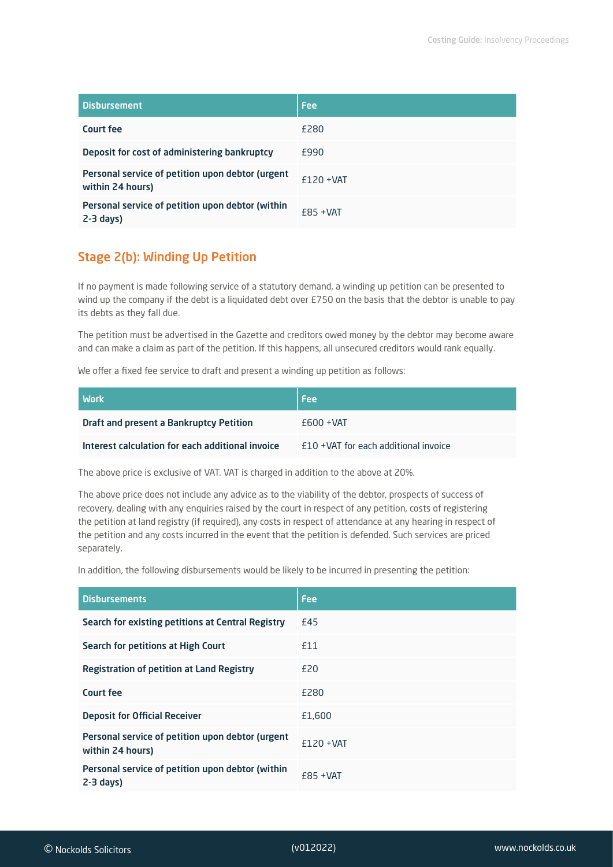| <b>Disbursement</b>                                                  | Fee          |
|----------------------------------------------------------------------|--------------|
| Court fee                                                            | £280         |
| Deposit for cost of administering bankruptcy                         | £990         |
| Personal service of petition upon debtor (urgent<br>within 24 hours) | $f120 + VAT$ |
| Personal service of petition upon debtor (within<br>$2-3$ days)      | $F85 + VAT$  |

#### Stage 2(b): Winding Up Petition

If no payment is made following service of a statutory demand, a winding up petition can be presented to wind up the company if the debt is a liquidated debt over £750 on the basis that the debtor is unable to pay its debts as they fall due.

The petition must be advertised in the Gazette and creditors owed money by the debtor may become aware and can make a claim as part of the petition. If this happens, all unsecured creditors would rank equally.

We offer a fixed fee service to draft and present a winding up petition as follows:

| <b>Work</b>                                      | <b>Fee</b>                            |
|--------------------------------------------------|---------------------------------------|
| Draft and present a Bankruptcy Petition          | $F600 + VAT$                          |
| Interest calculation for each additional invoice | £10 + VAT for each additional invoice |

The above price is exclusive of VAT. VAT is charged in addition to the above at 20%.

The above price does not include any advice as to the viability of the debtor, prospects of success of recovery, dealing with any enquiries raised by the court in respect of any petition, costs of registering the petition at land registry (if required), any costs in respect of attendance at any hearing in respect of the petition and any costs incurred in the event that the petition is defended. Such services are priced separately.

In addition, the following disbursements would be likely to be incurred in presenting the petition:

| <b>Disbursements</b>                                                 | <b>Fee</b>   |
|----------------------------------------------------------------------|--------------|
| Search for existing petitions at Central Registry                    | £45          |
| Search for petitions at High Court                                   | £11          |
| <b>Registration of petition at Land Registry</b>                     | <b>£20</b>   |
| Court fee                                                            | £280         |
| <b>Deposit for Official Receiver</b>                                 | £1,600       |
| Personal service of petition upon debtor (urgent<br>within 24 hours) | $f120 + VAT$ |
| Personal service of petition upon debtor (within<br>$2-3$ days)      | $E85 + VAT$  |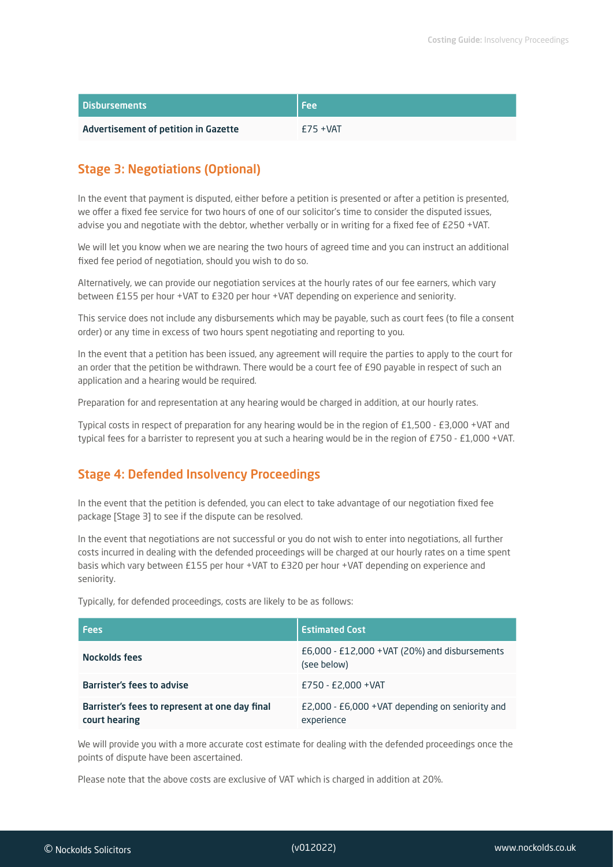| <b>Disbursements</b>                 | l Fee       |
|--------------------------------------|-------------|
| Advertisement of petition in Gazette | $E75 + VAT$ |

#### Stage 3: Negotiations (Optional)

In the event that payment is disputed, either before a petition is presented or after a petition is presented, we offer a fixed fee service for two hours of one of our solicitor's time to consider the disputed issues, advise you and negotiate with the debtor, whether verbally or in writing for a fixed fee of £250 +VAT.

We will let you know when we are nearing the two hours of agreed time and you can instruct an additional fixed fee period of negotiation, should you wish to do so.

Alternatively, we can provide our negotiation services at the hourly rates of our fee earners, which vary between £155 per hour +VAT to £320 per hour +VAT depending on experience and seniority.

This service does not include any disbursements which may be payable, such as court fees (to file a consent order) or any time in excess of two hours spent negotiating and reporting to you.

In the event that a petition has been issued, any agreement will require the parties to apply to the court for an order that the petition be withdrawn. There would be a court fee of £90 payable in respect of such an application and a hearing would be required.

Preparation for and representation at any hearing would be charged in addition, at our hourly rates.

Typical costs in respect of preparation for any hearing would be in the region of £1,500 - £3,000 +VAT and typical fees for a barrister to represent you at such a hearing would be in the region of £750 - £1,000 +VAT.

#### Stage 4: Defended Insolvency Proceedings

In the event that the petition is defended, you can elect to take advantage of our negotiation fixed fee package [Stage 3] to see if the dispute can be resolved.

In the event that negotiations are not successful or you do not wish to enter into negotiations, all further costs incurred in dealing with the defended proceedings will be charged at our hourly rates on a time spent basis which vary between £155 per hour +VAT to £320 per hour +VAT depending on experience and seniority.

Typically, for defended proceedings, costs are likely to be as follows:

| <b>Fees</b>                                                     | <b>Estimated Cost</b>                                          |
|-----------------------------------------------------------------|----------------------------------------------------------------|
| Nockolds fees                                                   | £6,000 - £12,000 + VAT (20%) and disbursements<br>(see below)  |
| <b>Barrister's fees to advise</b>                               | £750 - £2,000 + VAT                                            |
| Barrister's fees to represent at one day final<br>court hearing | £2,000 - £6,000 + VAT depending on seniority and<br>experience |

We will provide you with a more accurate cost estimate for dealing with the defended proceedings once the points of dispute have been ascertained.

Please note that the above costs are exclusive of VAT which is charged in addition at 20%.